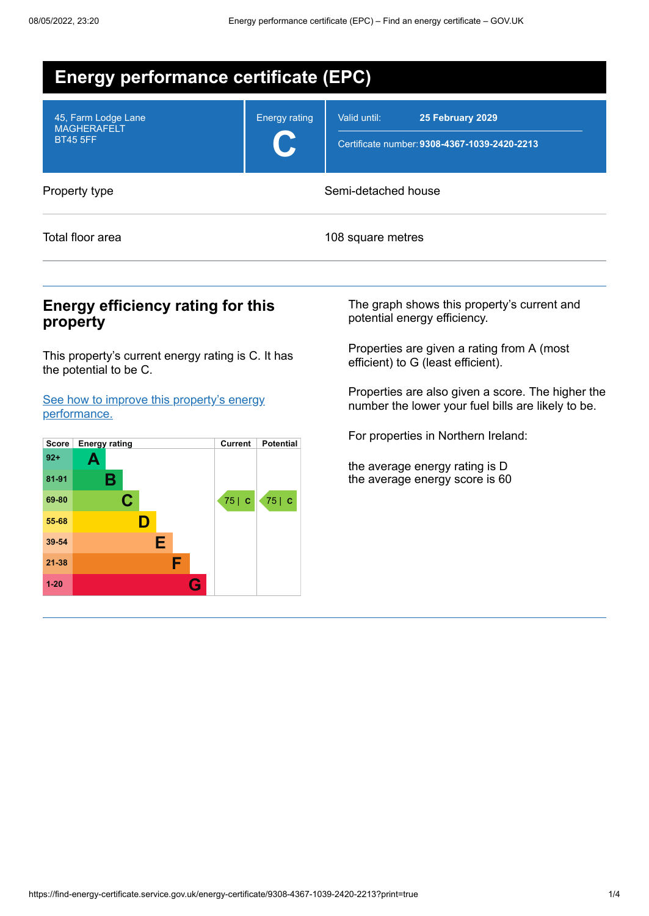| <b>Energy performance certificate (EPC)</b>                  |                      |                                                                                  |  |  |
|--------------------------------------------------------------|----------------------|----------------------------------------------------------------------------------|--|--|
| 45, Farm Lodge Lane<br><b>MAGHERAFELT</b><br><b>BT45 5FF</b> | <b>Energy rating</b> | Valid until:<br>25 February 2029<br>Certificate number: 9308-4367-1039-2420-2213 |  |  |
| Property type                                                |                      | Semi-detached house                                                              |  |  |
| Total floor area                                             |                      | 108 square metres                                                                |  |  |

## **Energy efficiency rating for this property**

This property's current energy rating is C. It has the potential to be C.

See how to improve this property's energy [performance.](#page-2-0)



The graph shows this property's current and potential energy efficiency.

Properties are given a rating from A (most efficient) to G (least efficient).

Properties are also given a score. The higher the number the lower your fuel bills are likely to be.

For properties in Northern Ireland:

the average energy rating is D the average energy score is 60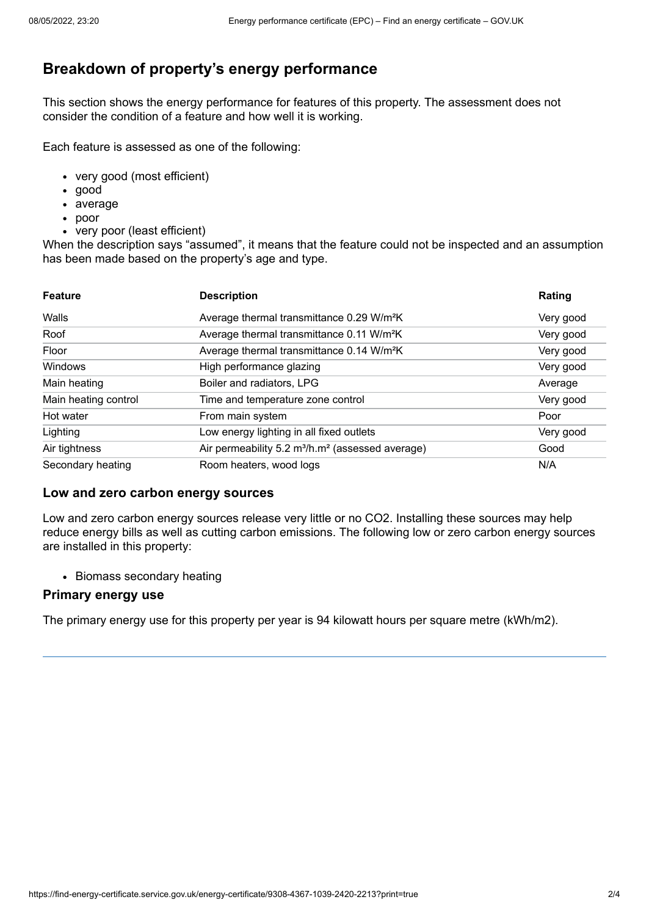# **Breakdown of property's energy performance**

This section shows the energy performance for features of this property. The assessment does not consider the condition of a feature and how well it is working.

Each feature is assessed as one of the following:

- very good (most efficient)
- good
- average
- poor
- very poor (least efficient)

When the description says "assumed", it means that the feature could not be inspected and an assumption has been made based on the property's age and type.

| <b>Feature</b>       | <b>Description</b>                                                       | Rating    |
|----------------------|--------------------------------------------------------------------------|-----------|
| Walls                | Average thermal transmittance 0.29 W/m <sup>2</sup> K                    | Very good |
| Roof                 | Average thermal transmittance 0.11 W/m <sup>2</sup> K                    | Very good |
| Floor                | Average thermal transmittance 0.14 W/m <sup>2</sup> K                    | Very good |
| Windows              | High performance glazing                                                 | Very good |
| Main heating         | Boiler and radiators, LPG                                                | Average   |
| Main heating control | Time and temperature zone control                                        | Very good |
| Hot water            | From main system                                                         | Poor      |
| Lighting             | Low energy lighting in all fixed outlets                                 | Very good |
| Air tightness        | Air permeability 5.2 m <sup>3</sup> /h.m <sup>2</sup> (assessed average) | Good      |
| Secondary heating    | Room heaters, wood logs                                                  | N/A       |

### **Low and zero carbon energy sources**

Low and zero carbon energy sources release very little or no CO2. Installing these sources may help reduce energy bills as well as cutting carbon emissions. The following low or zero carbon energy sources are installed in this property:

• Biomass secondary heating

### **Primary energy use**

The primary energy use for this property per year is 94 kilowatt hours per square metre (kWh/m2).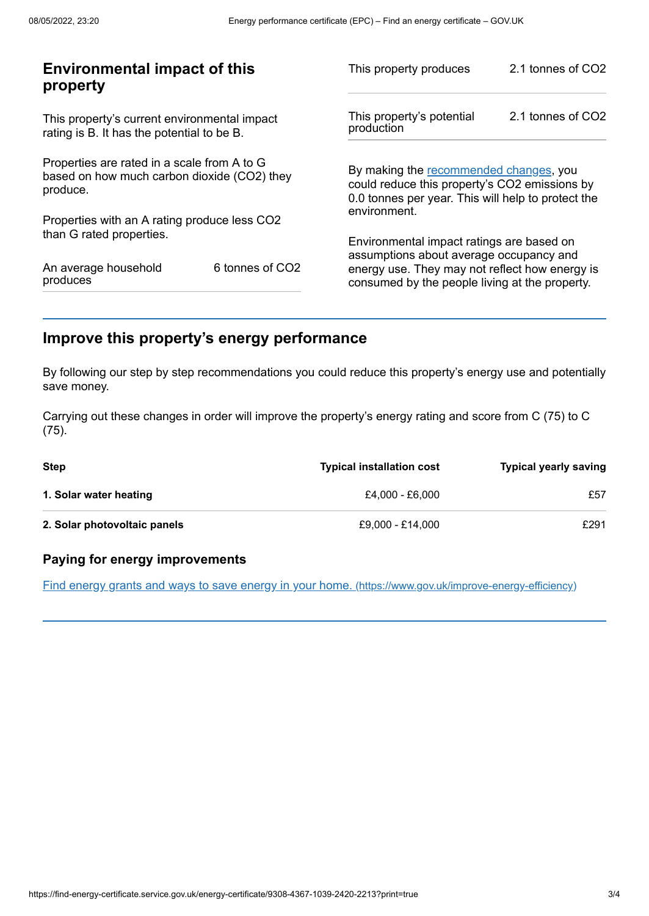| <b>Environmental impact of this</b><br>property                                                        |                 | This property produces                                                                                                                        | 2.1 tonnes of CO2 |
|--------------------------------------------------------------------------------------------------------|-----------------|-----------------------------------------------------------------------------------------------------------------------------------------------|-------------------|
| This property's current environmental impact<br>rating is B. It has the potential to be B.             |                 | This property's potential<br>production                                                                                                       | 2.1 tonnes of CO2 |
| Properties are rated in a scale from A to G<br>based on how much carbon dioxide (CO2) they<br>produce. |                 | By making the recommended changes, you<br>could reduce this property's CO2 emissions by<br>0.0 tonnes per year. This will help to protect the |                   |
| Properties with an A rating produce less CO2                                                           |                 | environment.                                                                                                                                  |                   |
| than G rated properties.                                                                               |                 | Environmental impact ratings are based on<br>assumptions about average occupancy and                                                          |                   |
| An average household<br>produces                                                                       | 6 tonnes of CO2 | energy use. They may not reflect how energy is<br>consumed by the people living at the property.                                              |                   |
|                                                                                                        |                 |                                                                                                                                               |                   |

# <span id="page-2-0"></span>**Improve this property's energy performance**

By following our step by step recommendations you could reduce this property's energy use and potentially save money.

Carrying out these changes in order will improve the property's energy rating and score from C (75) to C (75).

| Step                         | <b>Typical installation cost</b> | <b>Typical yearly saving</b> |
|------------------------------|----------------------------------|------------------------------|
| 1. Solar water heating       | £4.000 - £6.000                  | £57                          |
| 2. Solar photovoltaic panels | £9,000 - £14,000                 | £291                         |

### **Paying for energy improvements**

Find energy grants and ways to save energy in your home. [\(https://www.gov.uk/improve-energy-efficiency\)](https://www.gov.uk/improve-energy-efficiency)